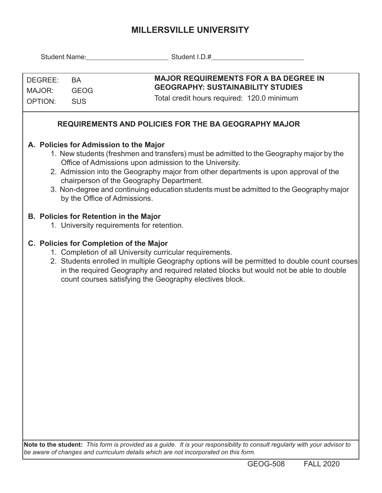## **MILLERSVILLE UNIVERSITY**

| DEGREE:<br>MAJOR:<br><b>OPTION:</b>                                                                                                                                                                                                                                                                                                                                                                                                                        | <b>BA</b><br><b>GEOG</b><br><b>SUS</b> | <b>MAJOR REQUIREMENTS FOR A BA DEGREE IN</b><br><b>GEOGRAPHY: SUSTAINABILITY STUDIES</b><br>Total credit hours required: 120.0 minimum                                                                                                                                                                                                                  |  |  |  |  |  |  |  |  |
|------------------------------------------------------------------------------------------------------------------------------------------------------------------------------------------------------------------------------------------------------------------------------------------------------------------------------------------------------------------------------------------------------------------------------------------------------------|----------------------------------------|---------------------------------------------------------------------------------------------------------------------------------------------------------------------------------------------------------------------------------------------------------------------------------------------------------------------------------------------------------|--|--|--|--|--|--|--|--|
| <b>REQUIREMENTS AND POLICIES FOR THE BA GEOGRAPHY MAJOR</b>                                                                                                                                                                                                                                                                                                                                                                                                |                                        |                                                                                                                                                                                                                                                                                                                                                         |  |  |  |  |  |  |  |  |
| A. Policies for Admission to the Major<br>1. New students (freshmen and transfers) must be admitted to the Geography major by the<br>Office of Admissions upon admission to the University.<br>2. Admission into the Geography major from other departments is upon approval of the<br>chairperson of the Geography Department.<br>3. Non-degree and continuing education students must be admitted to the Geography major<br>by the Office of Admissions. |                                        |                                                                                                                                                                                                                                                                                                                                                         |  |  |  |  |  |  |  |  |
|                                                                                                                                                                                                                                                                                                                                                                                                                                                            |                                        | <b>B. Policies for Retention in the Major</b><br>1. University requirements for retention.                                                                                                                                                                                                                                                              |  |  |  |  |  |  |  |  |
|                                                                                                                                                                                                                                                                                                                                                                                                                                                            |                                        | C. Policies for Completion of the Major<br>1. Completion of all University curricular requirements.<br>2. Students enrolled in multiple Geography options will be permitted to double count courses<br>in the required Geography and required related blocks but would not be able to double<br>count courses satisfying the Geography electives block. |  |  |  |  |  |  |  |  |
|                                                                                                                                                                                                                                                                                                                                                                                                                                                            |                                        | Note to the student: This form is provided as a quide. It is your responsibility to consult requiarly with your advisor to                                                                                                                                                                                                                              |  |  |  |  |  |  |  |  |

**Note to the student:** *This form is provided as a guide. It is your responsibility to consult regularly with your advisor to be aware of changes and curriculum details which are not incorporated on this form.*